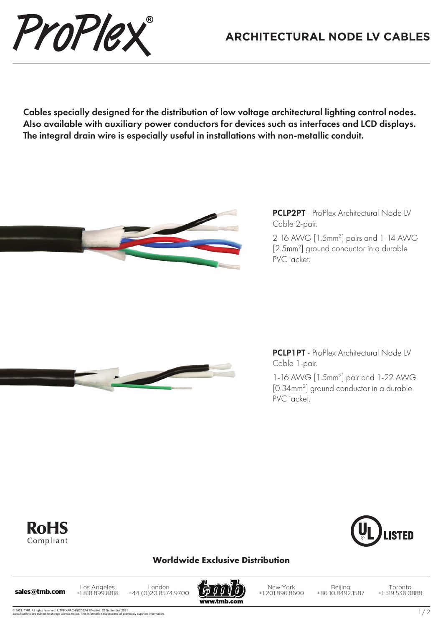## **ARCHITECTURAL NODE LV CABLES**

Cables specially designed for the distribution of low voltage architectural lighting control nodes. Also available with auxiliary power conductors for devices such as interfaces and LCD displays. The integral drain wire is especially useful in installations with non-metallic conduit.



ProPlex

PCLP2PT - ProPlex Architectural Node LV Cable 2-pair.

2-16 AWG [1.5mm2 ] pairs and 1-14 AWG [2.5mm2 ] ground conductor in a durable PVC jacket.



PCLP1PT - ProPlex Architectural Node LV Cable 1-pair.

1-16 AWG [1.5mm2 ] pair and 1-22 AWG [0.34mm2 ] ground conductor in a durable PVC jacket.





## **Worldwide Exclusive Distribution**

Los Angeles +1 818.899.8818 Los Angeles London<br>**sales@tmb.com** +1818.899.8818 +44 (0)20.8574.9700

www.tmb.com

New York +1 201.896.8600

Beijing +86 10.8492.1587

Toronto +1 519.538.0888